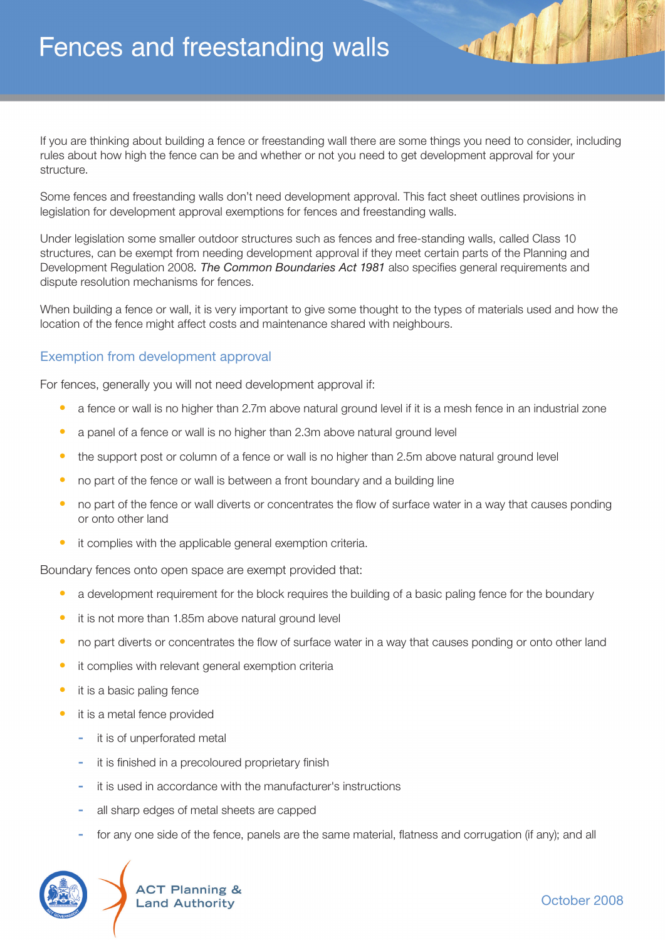If you are thinking about building a fence or freestanding wall there are some things you need to consider, including rules about how high the fence can be and whether or not you need to get development approval for your structure.

Some fences and freestanding walls don't need development approval. This fact sheet outlines provisions in legislation for development approval exemptions for fences and freestanding walls.

Under legislation some smaller outdoor structures such as fences and free-standing walls, called Class 10 structures, can be exempt from needing development approval if they meet certain parts of the Planning and Development Regulation 2008. The Common Boundaries Act 1981 also specifies general requirements and dispute resolution mechanisms for fences.

When building a fence or wall, it is very important to give some thought to the types of materials used and how the location of the fence might affect costs and maintenance shared with neighbours.

## Exemption from development approval

For fences, generally you will not need development approval if:

- a fence or wall is no higher than 2.7m above natural ground level if it is a mesh fence in an industrial zone
- a panel of a fence or wall is no higher than 2.3m above natural ground level
- the support post or column of a fence or wall is no higher than 2.5m above natural ground level
- no part of the fence or wall is between a front boundary and a building line
- no part of the fence or wall diverts or concentrates the flow of surface water in a way that causes ponding or onto other land
- it complies with the applicable general exemption criteria.

Boundary fences onto open space are exempt provided that:

- a development requirement for the block requires the building of a basic paling fence for the boundary
- it is not more than 1.85m above natural ground level
- no part diverts or concentrates the flow of surface water in a way that causes ponding or onto other land
- it complies with relevant general exemption criteria
- it is a basic paling fence
- it is a metal fence provided
	- **-** it is of unperforated metal
	- it is finished in a precoloured proprietary finish
	- **-** it is used in accordance with the manufacturer's instructions
	- **-** all sharp edges of metal sheets are capped
	- for any one side of the fence, panels are the same material, flatness and corrugation (if any); and all

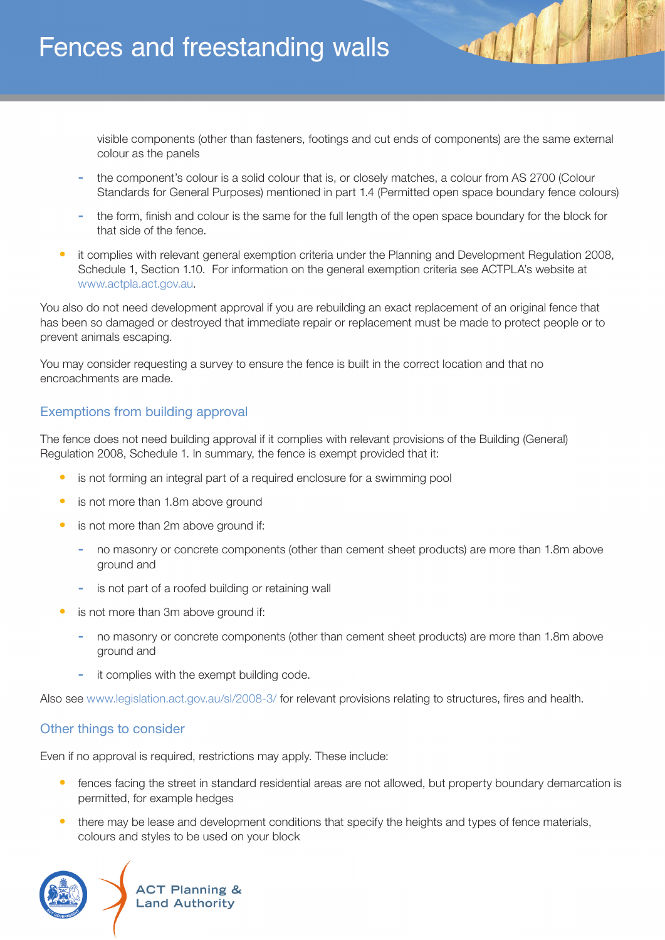# Fences and freestanding walls

visible components (other than fasteners, footings and cut ends of components) are the same external colour as the panels

- **-** the component's colour is a solid colour that is, or closely matches, a colour from AS 2700 (Colour Standards for General Purposes) mentioned in part 1.4 (Permitted open space boundary fence colours)
- **-** the form, fi nish and colour is the same for the full length of the open space boundary for the block for that side of the fence.
- it complies with relevant general exemption criteria under the Planning and Development Regulation 2008, Schedule 1, Section 1.10. For information on the general exemption criteria see ACTPLA's website at www.actpla.act.gov.au.

You also do not need development approval if you are rebuilding an exact replacement of an original fence that has been so damaged or destroyed that immediate repair or replacement must be made to protect people or to prevent animals escaping.

You may consider requesting a survey to ensure the fence is built in the correct location and that no encroachments are made.

## Exemptions from building approval

The fence does not need building approval if it complies with relevant provisions of the Building (General) Regulation 2008, Schedule 1. In summary, the fence is exempt provided that it:

- is not forming an integral part of a required enclosure for a swimming pool
- is not more than 1.8m above ground
- is not more than 2m above ground if:
	- **-** no masonry or concrete components (other than cement sheet products) are more than 1.8m above ground and
	- **-** is not part of a roofed building or retaining wall
- is not more than 3m above ground if:
	- **-** no masonry or concrete components (other than cement sheet products) are more than 1.8m above ground and
	- **-** it complies with the exempt building code.

Also see www.legislation.act.gov.au/sl/2008-3/ for relevant provisions relating to structures, fires and health.

## Other things to consider

Even if no approval is required, restrictions may apply. These include:

- fences facing the street in standard residential areas are not allowed, but property boundary demarcation is permitted, for example hedges
- there may be lease and development conditions that specify the heights and types of fence materials, colours and styles to be used on your block